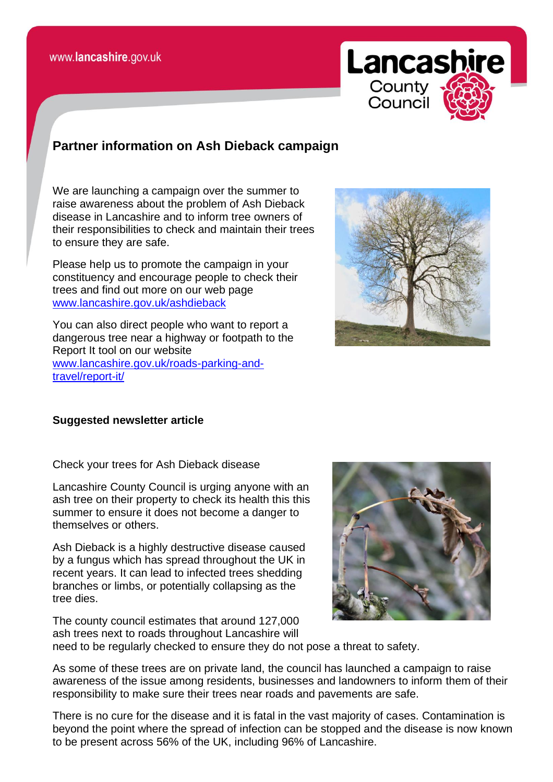

## **Partner information on Ash Dieback campaign**

We are launching a campaign over the summer to raise awareness about the problem of Ash Dieback disease in Lancashire and to inform tree owners of their responsibilities to check and maintain their trees to ensure they are safe.

Please help us to promote the campaign in your constituency and encourage people to check their trees and find out more on our web page [www.lancashire.gov.uk/ashdieback](http://www.lancashire.gov.uk/ashdieback)

You can also direct people who want to report a dangerous tree near a highway or footpath to the Report It tool on our website [www.lancashire.gov.uk/roads-parking-and](http://www.lancashire.gov.uk/roads-parking-and-travel/report-it/)[travel/report-it/](http://www.lancashire.gov.uk/roads-parking-and-travel/report-it/)



## **Suggested newsletter article**

Check your trees for Ash Dieback disease

Lancashire County Council is urging anyone with an ash tree on their property to check its health this this summer to ensure it does not become a danger to themselves or others.

Ash Dieback is a highly destructive disease caused by a fungus which has spread throughout the UK in recent years. It can lead to infected trees shedding branches or limbs, or potentially collapsing as the tree dies.

The county council estimates that around 127,000 ash trees next to roads throughout Lancashire will need to be regularly checked to ensure they do not pose a threat to safety.

As some of these trees are on private land, the council has launched a campaign to raise awareness of the issue among residents, businesses and landowners to inform them of their responsibility to make sure their trees near roads and pavements are safe.

There is no cure for the disease and it is fatal in the vast majority of cases. Contamination is beyond the point where the spread of infection can be stopped and the disease is now known to be present across 56% of the UK, including 96% of Lancashire.